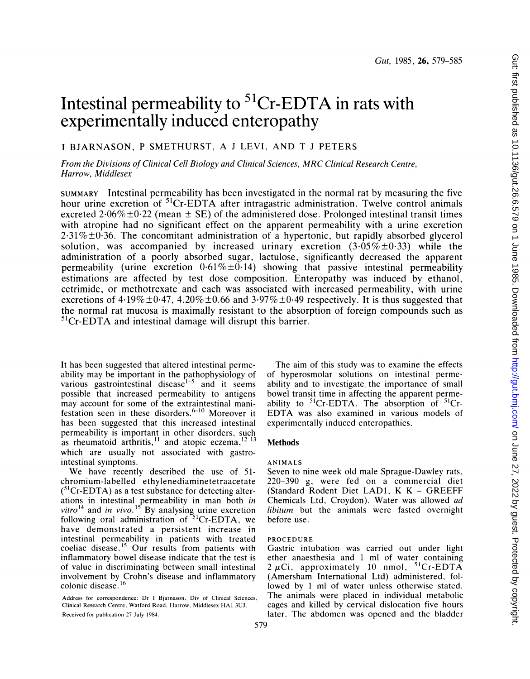# Intestinal permeability to  ${}^{51}Cr$ -EDTA in rats with experimentally induced enteropathy

## <sup>I</sup> BJARNASON, <sup>P</sup> SMETHURST, A <sup>J</sup> LEVI, AND T <sup>J</sup> PETERS

From the Divisions of Clinical Cell Biology and Clinical Sciences, MRC Clinical Research Centre, Harrow, Middlesex

SUMMARY Intestinal permeability has been investigated in the normal rat by measuring the five hour urine excretion of <sup>51</sup>Cr-EDTA after intragastric administration. Twelve control animals excreted 2.06% $\pm$ 0.22 (mean  $\pm$  SE) of the administered dose. Prolonged intestinal transit times with atropine had no significant effect on the apparent permeability with a urine excretion  $2.31\% \pm 0.36$ . The concomitant administration of a hypertonic, but rapidly absorbed glycerol solution, was accompanied by increased urinary excretion  $(3.05\% \pm 0.33)$  while the administration of a poorly absorbed sugar, lactulose, significantly decreased the apparent permeability (urine excretion  $0.61\% \pm 0.14$ ) showing that passive intestinal permeability estimations are affected by test dose composition. Enteropathy was induced by ethanol, cetrimide, or methotrexate and each was associated with increased permeability, with urine excretions of  $4.19\% \pm 0.47$ ,  $4.20\% \pm 0.66$  and  $3.97\% \pm 0.49$  respectively. It is thus suggested that the normal rat mucosa is maximally resistant to the absorption of foreign compounds such as  ${}^{51}Cr$ -EDTA and intestinal damage will disrupt this barrier.

It has been suggested that altered intestinal permeability may be important in the pathophysiology of various gastrointestinal disease<sup> $1-5$ </sup> and it seems possible that increased permeability to antigens may account for some of the extraintestinal manifestation seen in these disorders.<sup>{Fiv}</sup> Moreover it has been suggested that this increased intestinal permeability is important in other disorders, such as rheumatoid arthritis,<sup>11</sup> and atopic eczema,<sup>12</sup> <sup>13</sup> which are usually not associated with gastrointestinal symptoms.

We have recently described the use of 51 chromium-labelled ethylenediaminetetraacetate  $(^{51}Cr$ -EDTA) as a test substance for detecting alterations in intestinal permeability in man both in  $vitro<sup>14</sup>$  and in vivo.<sup>15</sup> By analysing urine excretion following oral administration of  $51Cr$ -EDTA, we have demonstrated a persistent increase in intestinal permeability in patients with treated coeliac disease.<sup>15</sup> Our results from patients with inflammatory bowel disease indicate that the test is of value in discriminating between small intestinal involvement by Crohn's disease and inflammatory colonic disease.<sup>16</sup>

Address for correspondence: Dr <sup>I</sup> Bjarnason, Div of Clinical Sciences, Clinical Research Centre, Watford Road, Harrow, Middlesex HAl 3UJ. Received for publication 27 July 1984.

The aim of this study was to examine the effects of hyperosmolar solutions on intestinal permeability and to investigate the importance of small bowel transit time in affecting the apparent permeability to  ${}^{51}Cr$ -EDTA. The absorption of  ${}^{51}Cr$ -EDTA was also examined in various models of experimentally induced enteropathies.

## **Methods**

#### ANIMALS

Seven to nine week old male Sprague-Dawley rats, 220-390 g, were fed on a commercial diet (Standard Rodent Diet LAD1, K K - GREEFF Chemicals Ltd, Croydon). Water was allowed ad libitum but the animals were fasted overnight before use.

## PROCEDURE

Gastric intubation was carried out under light ether anaesthesia and <sup>1</sup> ml of water containing  $2 \mu$ Ci, approximately 10 nmol, <sup>51</sup>Cr-EDTA (Amersham International Ltd) administered, followed by <sup>1</sup> ml of water unless otherwise stated. The animals were placed in individual metabolic cages and killed by cervical dislocation five hours later. The abdomen was opened and the bladder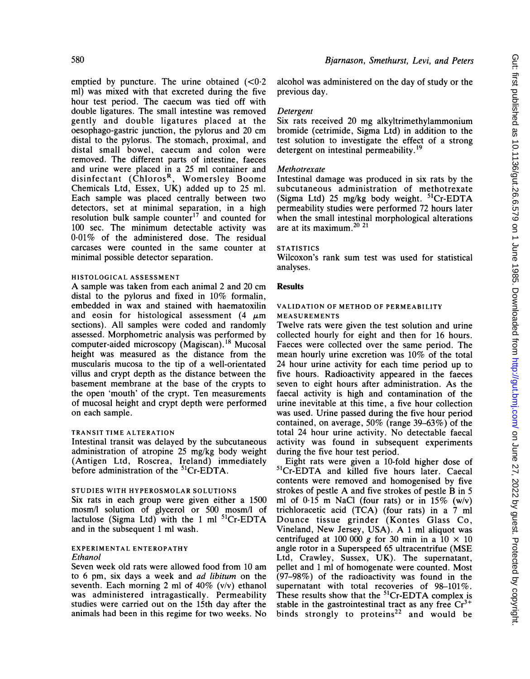emptied by puncture. The urine obtained  $(<0.2$ ml) was mixed with that excreted during the five hour test period. The caecum was tied off with double ligatures. The small intestine was removed gently and double ligatures placed at the oesophago-gastric junction, the pylorus and 20 cm distal to the pylorus. The stomach, proximal, and distal small bowel, caecum and colon were removed. The different parts of intestine, faeces and urine were placed in a 25 ml container and disinfectant (Chloros<sup>k</sup>, Womersley Boome Chemicals Ltd, Essex, UK) added up to 25 ml. Each sample was placed centrally between two detectors, set at minimal separation, in a high resolution bulk sample counter<sup>17</sup> and counted for 100 sec. The minimum detectable activity was 0 01% of the administered dose. The residual carcases were counted in the same counter at minimal possible detector separation.

## HISTOLOGICAL ASSESSMENT

A sample was taken from each animal <sup>2</sup> and <sup>20</sup> cm distal to the pylorus and fixed in 10% formalin, embedded in wax and stained with haematoxilin and eosin for histological assessment  $(4 \mu m)$ sections). All samples were coded and randomly assessed. Morphometric analysis was performed by computer-aided microscopy (Magiscan).'8 Mucosal height was measured as the distance from the muscularis mucosa to the tip of a well-orientated villus and crypt depth as the distance between the basement membrane at the base of the crypts to the open 'mouth' of the crypt. Ten measurements of mucosal height and crypt depth were performed on each sample.

## TRANSIT TIME ALTERATION

Intestinal transit was delayed by the subcutaneous administration of atropine 25 mg/kg body weight (Antigen Ltd, Roscrea, Ireland) immediately before administration of the <sup>51</sup>Cr-EDTA.

## STUDIES WITH HYPEROSMOLAR SOLUTIONS

Six rats in each group were given either a 1500 mosm/l solution of glycerol or 500 mosm/l of lactulose (Sigma Ltd) with the 1 ml  ${}^{51}$ Cr-EDTA and in the subsequent <sup>1</sup> ml wash.

## EXPERIMENTAL ENTEROPATHY Ethanol

Seven week old rats were allowed food from 10 am to 6 pm, six days a week and ad libitum on the seventh. Each morning 2 ml of  $40\%$  (v/v) ethanol was administered intragastically. Permeability studies were carried out on the 15th day after the animals had been in this regime for two weeks. No

alcohol was administered on the day of study or the previous day.

## Detergent

Six rats received 20 mg alkyltrimethylammonium bromide (cetrimide, Sigma Ltd) in addition to the test solution to investigate the effect of a strong detergent on intestinal permeability.<sup>19</sup>

## Methotrexate

Intestinal damage was produced in six rats by the subcutaneous administration of methotrexate (Sigma Ltd) 25 mg/kg body weight.  ${}^{51}Cr$ -EDTA permeability studies were performed 72 hours later when the small intestinal morphological alterations are at its maximum.<sup>20</sup><sup>21</sup>

## **STATISTICS**

Wilcoxon's rank sum test was used for statistical analyses.

## Results

#### VALIDATION OF METHOD OF PERMEABILITY MEASUREMENTS

Twelve rats were given the test solution and urine collected hourly for eight and then for 16 hours. Faeces were collected over the same period. The mean hourly urine excretion was 10% of the total 24 hour urine activity for each time period up to five hours. Radioactivity appeared in the faeces seven to eight hours after administration. As the faecal activity is high and contamination of the urine inevitable at this time, a five hour collection was used. Urine passed during the five hour period contained, on average, 50% (range 39-63%) of the total 24 hour urine activity. No detectable faecal activity was found in subsequent experiments during the five hour test period.

Eight rats were given a 10-fold higher dose of 51Cr-EDTA and killed five hours later. Caecal contents were removed and homogenised by five strokes of pestle A and five strokes of pestle B in <sup>5</sup> ml of 0.15 m NaCl (four rats) or in  $15\%$  (w/v) trichloracetic acid (TCA) (four rats) in a 7 ml Dounce tissue grinder (Kontes Glass Co, Vineland, New Jersey, USA). A <sup>1</sup> ml aliquot was centrifuged at 100 000 g for 30 min in a  $10 \times 10$ angle rotor in <sup>a</sup> Superspeed 65 ultracentrifue (MSE Ltd, Crawley, Sussex, UK). The supernatant, pellet and <sup>1</sup> ml of homogenate were counted. Most (97-98%) of the radioactivity was found in the supernatant with total recoveries of 98-101%. These results show that the <sup>51</sup>Cr-EDTA complex is stable in the gastrointestinal tract as any free  $Cr^{3+}$ binds strongly to proteins<sup>22</sup> and would be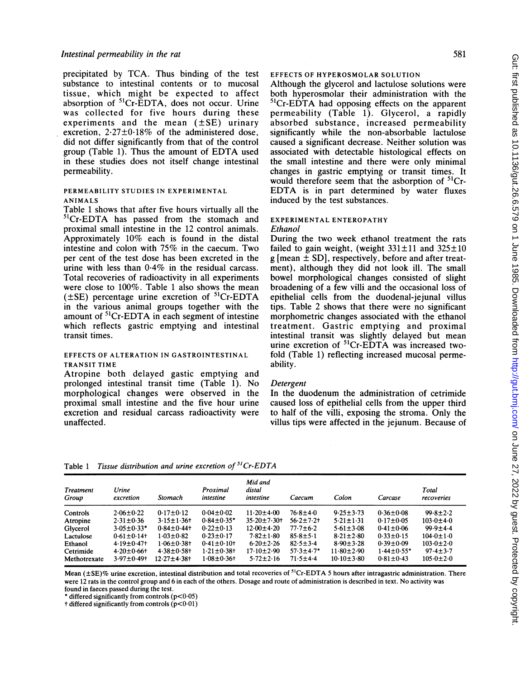precipitated by TCA. Thus binding of the test substance to intestinal contents or to mucosal tissue, which might be expected to affect absorption of <sup>51</sup>Cr-EDTA, does not occur. Urine was collected for five hours during these experiments and the mean  $(\pm SE)$  urinary excretion,  $2.27\pm0.18\%$  of the administered dose, did not differ significantly from that of the control group (Table 1). Thus the amount of EDTA used in these studies does not itself change intestinal permeability.

#### PERMEABILITY STUDIES IN EXPERIMENTAL ANIMALS

Table <sup>1</sup> shows that after five hours virtually all the 51Cr-EDTA has passed from the stomach and proximal small intestine in the 12 control animals. Approximately 10% each is found in the distal intestine and colon with 75% in the caecum. Two per cent of the test dose has been excreted in the urine with less than 0.4% in the residual carcass. Total recoveries of radioactivity in all experiments were close to 100%. Table <sup>1</sup> also shows the mean  $(\pm SE)$  percentage urine excretion of <sup>51</sup>Cr-EDTA in the various animal groups together with the amount of  ${}^{51}Cr$ -EDTA in each segment of intestine which reflects gastric emptying and intestinal transit times.

#### EFFECTS OF ALTERATION IN GASTROINTESTINAL TRANSIT TIME

Atropine both delayed gastic emptying and prolonged intestinal transit time (Table 1). No morphological changes were observed in the proximal small intestine and the five hour urine excretion and residual carcass radioactivity were unaffected.

EFFECTS OF HYPEROSMOLAR SOLUTION

Although the glycerol and lactulose solutions were both hyperosmolar their administration with the <sup>51</sup>Cr-EDTA had opposing effects on the apparent permeability (Table 1). Glycerol, a rapidly absorbed substance, increased permeability significantly while the non-absorbable lactulose caused a significant decrease. Neither solution was associated with detectable histological effects on the small intestine and there were only minimal changes in gastric emptying or transit times. It would therefore seem that the asborption of <sup>51</sup>Cr-EDTA is in part determined by water fluxes induced by the test substances.

#### EXPERIMENTAL ENTEROPATHY Ethanol

During the two week ethanol treatment the rats failed to gain weight, (weight  $331 \pm 11$  and  $325 \pm 10$  $g$  [mean  $\pm$  SD], respectively, before and after treatment), although they did not look ill. The small bowel morphological changes consisted of slight broadening of a few villi and the occasional loss of epithelial cells from the duodenal-jejunal villus tips. Table 2 shows that there were no significant morphometric changes associated with the ethanol treatment. Gastric emptying and proximal intestinal transit was slightly delayed but mean urine excretion of <sup>51</sup>Cr-EDTA was increased twofold (Table 1) reflecting increased mucosal permeability.

## Detergent

In the duodenum the administration of cetrimide caused loss of epithelial cells from the upper third to half of the villi, exposing the stroma. Only the villus tips were affected in the jejunum. Because of

Table 1 Tissue distribution and urine excretion of  ${}^{51}Cr$ -EDTA

| Treatment<br>Group | Urine<br>excretion | Stomach           | Proximal<br>intestine | Mid and<br>distal<br>intestine | Caecum          | Colon            | Carcase          | Total<br>recoveries |
|--------------------|--------------------|-------------------|-----------------------|--------------------------------|-----------------|------------------|------------------|---------------------|
| Controls           | $2.06 \pm 0.22$    | $0.17 \pm 0.12$   | $0.04 \pm 0.02$       | $11.20 \pm 4.00$               | $76.8 + 4.0$    | $9.25 \pm 3.73$  | $0.36 \pm 0.08$  | $99.8 \pm 2.2$      |
| Atropine           | $2.31 \pm 0.36$    | $3.15 \pm 1.36$   | $0.84 \pm 0.35*$      | $35.20 \pm 7.30$               | $56.2 + 7.2 +$  | $5.21 \pm 1.31$  | $0.17 \pm 0.05$  | $103.0 \pm 4.0$     |
| Glycerol           | $3.05 \pm 0.33*$   | $0.84 \pm 0.44$   | $0.22 \pm 0.13$       | $12.00 + 4.20$                 | $77.7 \pm 6.2$  | $5.61 \pm 3.08$  | $0.41 \pm 0.06$  | $99.9 + 4.4$        |
| Lactulose          | $0.61 \pm 0.14$ +  | $1.03 \pm 0.82$   | $0.23 \pm 0.17$       | $7.82 \pm 1.80$                | $85.8 \pm 5.1$  | $8.21 \pm 2.80$  | $0.33 \pm 0.15$  | $104.0 \pm 1.0$     |
| Ethanol            | $4.19 \pm 0.47$    | $1.06 \pm 0.38$ † | $0.41 \pm 0.10 +$     | $6.20 \pm 2.26$                | $82.5 \pm 3.4$  | $8.90 \pm 3.28$  | $0.39 \pm 0.09$  | $103.0 \pm 2.0$     |
| Cetrimide          | $4.20 \pm 0.66$ †  | $4.38 \pm 0.58$ + | $1.21 \pm 0.38$ +     | $17.10 \pm 2.90$               | $57.3 \pm 4.7*$ | $11.80 \pm 2.90$ | $1.44 \pm 0.55*$ | $97.4 \pm 3.7$      |
| Methotrexate       | $3.97 \pm 0.49$ †  | $12.27 + 4.38 +$  | $1.08 + 0.36 +$       | $5.72 \pm 2.16$                | $71.5 + 4.4$    | $10.10 \pm 3.80$ | $0.81 \pm 0.43$  | $105.0 \pm 2.0$     |

Mean ( $\pm$ SE)% urine excretion, intestinal distribution and total recoveries of <sup>51</sup>Cr-EDTA 5 hours after intragastric administration. There were <sup>12</sup> rats in the control group and <sup>6</sup> in each of the others. Dosage and route of administration is described in text. No activity was found in faeces passed during the test.

\* differed significantly from controls (p<0.05)

 $\dagger$  differed significantly from controls ( $p<0.01$ )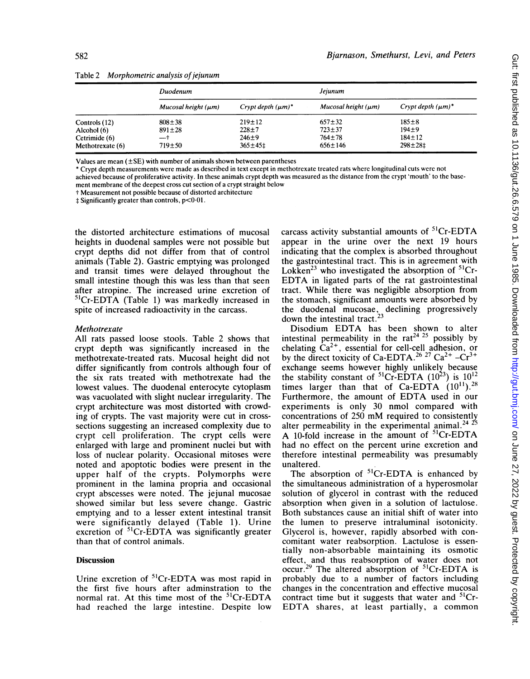|                  | Duodenum                 |                         | Jejunum                  |                         |  |
|------------------|--------------------------|-------------------------|--------------------------|-------------------------|--|
|                  | Mucosal height $(\mu m)$ | Crypt depth $(\mu m)^*$ | Mucosal height $(\mu m)$ | Crypt depth $(\mu m)^*$ |  |
| Controls (12)    | $808 + 38$               | $219 \pm 12$            | $657 \pm 32$             | $185 \pm 8$             |  |
| Alcohol (6)      | $891 \pm 28$             | $228 + 7$               | $723 \pm 37$             | $194 + 9$               |  |
| Cetrimide (6)    | —†                       | $246 + 9$               | $764 + 78$               | $184 \pm 12$            |  |
| Methotrexate (6) | $719 + 50$               | $365 \pm 45$            | $656 \pm 146$            | $298 \pm 281$           |  |

Table 2 Morphometric analysis of jejunum

Values are mean (±SE) with number of animals shown between parentheses

\* Crypt depth measurements were made as described in text except in methotrexate treated rats where longitudinal cuts were not achieved because of proliferative activity. In these animals crypt depth was measured as the distance from the crypt 'mouth' to the base-

ment membrane of the deepest cross cut section of a crypt straight below

t Measurement not possible because of distorted architecture

 $\ddagger$  Significantly greater than controls,  $p<0.01$ .

the distorted architecture estimations of mucosal heights in duodenal samples were not possible but crypt depths did not differ from that of control animals (Table 2). Gastric emptying was prolonged and transit times were delayed throughout the small intestine though this was less than that seen after atropine. The increased urine excretion of  ${}^{51}Cr$ -EDTA (Table 1) was markedly increased in spite of increased radioactivity in the carcass.

## Methotrexate

All rats passed loose stools. Table 2 shows that crypt depth was significantly increased in the methotrexate-treated rats. Mucosal height did not differ significantly from controls although four of the six rats treated with methotrexate had the lowest values. The duodenal enterocyte cytoplasm was vacuolated with slight nuclear irregularity. The crypt architecture was most distorted with crowding of crypts. The vast majority were cut in crosssections suggesting an increased complexity due to crypt cell proliferation. The crypt cells were enlarged with large and prominent nuclei but with loss of nuclear polarity. Occasional mitoses were noted and apoptotic bodies were present in the upper half of the crypts. Polymorphs were prominent in the lamina propria and occasional crypt abscesses were noted. The jejunal mucosae showed similar but less severe change. Gastric emptying and to a lesser extent intestinal transit were significantly delayed (Table 1). Urine excretion of  ${}^{51}Cr$ -EDTA was significantly greater than that of control animals.

## Discussion

Urine excretion of <sup>51</sup>Cr-EDTA was most rapid in the first five hours after adminstration to the normal rat. At this time most of the <sup>51</sup>Cr-EDTA had reached the large intestine. Despite low

carcass activity substantial amounts of  ${}^{51}Cr$ -EDTA appear in the urine over the next 19 hours indicating that the complex is absorbed throughout the gastrointestinal tract. This is in agreement with Lokken<sup>23</sup> who investigated the absorption of  ${}^{51}Cr$ -EDTA in ligated parts of the rat gastrointestinal tract. While there was negligible absorption from the stomach, significant amounts were absorbed by the duodenal mucosae, declining progressively down the intestinal tract.<sup>23</sup>

Disodium EDTA has been shown to alter intestinal permeability in the rat<sup>24 25</sup> possibly by chelating  $Ca^{2+}$ , essential for cell-cell adhesion, or by the direct toxicity of Ca-EDTA.<sup>26</sup> <sup>27</sup> Ca<sup>2+</sup>  $-Cr^{3+}$ exchange seems however highly unlikely because the stability constant of <sup>51</sup>Cr-EDTA (10<sup>23</sup>) is  $10^{12}$ times larger than that of Ca-EDTA  $(10^{11})$ .<sup>28</sup> Furthermore, the amount of EDTA used in our experiments is only 30 nmol compared with concentrations of <sup>250</sup> mM required to consistently alter permeability in the experimental animal.<sup>24 25</sup> A 10-fold increase in the amount of  $^{51}$ Cr-EDTA had no effect on the percent urine excretion and therefore intestinal permeability was presumably unaltered.

The absorption of  ${}^{51}Cr$ -EDTA is enhanced by the simultaneous administration of a hyperosmolar solution of glycerol in contrast with the reduced absorption when given in a solution of lactulose. Both substances cause an initial shift of water into the lumen to preserve intraluminal isotonicity. Glycerol is, however, rapidly absorbed with concomitant water reabsorption. Lactulose is essentially non-absorbable maintaining its osmotic effect, and thus reabsorption of water does not occur.<sup>29</sup> The altered absorption of  ${}^{51}Cr$ -EDTA is probably due to a number of factors including changes in the concentration and effective mucosal contract time but it suggests that water and  ${}^{51}Cr$ -EDTA shares, at least partially, <sup>a</sup> common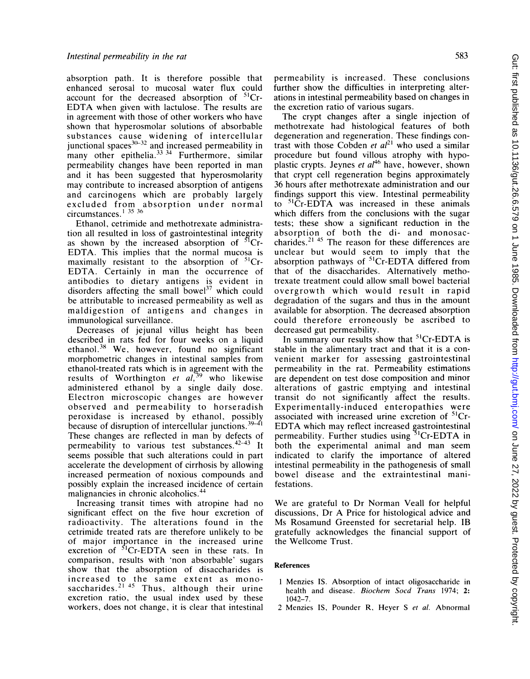absorption path. It is therefore possible that enhanced serosal to mucosal water flux could account for the decreased absorption of 51Cr-EDTA when given with lactulose. The results are in agreement with those of other workers who have shown that hyperosmolar solutions of absorbable substances cause widening of intercellular junctional spaces<sup>30,32</sup> and increased permeability in many other epithelia.<sup>33-34</sup> Furthermore, similar permeability changes have been reported in man and it has been suggested that hyperosmolarity may contribute to increased absorption of antigens and carcinogens which are probably largely excluded from absorption under normal circumstances.<sup>1</sup> <sup>35</sup> <sup>36</sup>

Ethanol, cetrimide and methotrexate administration all resulted in loss of gastrointestinal integrity as shown by the increased absorption of  ${}^{51}Cr$ -EDTA. This implies that the normal mucosa is maximally resistant to the absorption of <sup>51</sup>Cr-EDTA. Certainly in man the occurrence of antibodies to dietary antigens is evident in disorders affecting the small bowel $37$  which could be attributable to increased permeability as well as maldigestion of antigens and changes in immunological surveillance.

Decreases of jejunal villus height has been described in rats fed for four weeks on a liquid ethanol.<sup>38</sup> We, however, found no significant morphometric changes in intestinal samples from ethanol-treated rats which is in agreement with the results of Worthington et  $al$ ,<sup>39</sup> who likewise administered ethanol by a single daily dose. Electron microscopic changes are however observed and permeability to horseradish peroxidase is increased by ethanol, possibly because of disruption of intercellular junctions.  $39-41$ These changes are reflected in man by defects of permeability to various test substances.  $42-43$  It seems possible that such alterations could in part accelerate the development of cirrhosis by allowing increased permeation of noxious compounds and possibly explain the increased incidence of certain malignancies in chronic alcoholics.<sup>44</sup>

Increasing transit times with atropine had no significant effect on the five hour excretion of radioactivity. The alterations found in the cetrimide treated rats are therefore unlikely to be of major importance in the increased urine excretion of  ${}^{51}$ Cr-EDTA seen in these rats. In comparison, results with 'non absorbable' sugars show that the absorption of disaccharides is increased to the same extent as monosaccharides.<sup>2145</sup> Thus, although their urine excretion ratio, the usual index used by these workers, does not change, it is clear that intestinal permeability is increased. These conclusions further show the difficulties in interpreting alterations in intestinal permeability based on changes in the excretion ratio of various sugars.

The crypt changes after a single injection of methotrexate had histological features of both degeneration and regeneration. These findings contrast with those Cobden et  $al<sup>21</sup>$  who used a similar procedure but found villous atrophy with hypoplastic crypts. Jeynes et  $al^{46}$  have, however, shown that crypt cell regeneration begins approximately 36 hours after methotrexate administration and our findings support this view. Intestinal permeability to  ${}^{51}$ Cr-EDTA was increased in these animals which differs from the conclusions with the sugar tests; these show a significant reduction in the absorption of both the di- and monosaccharides.<sup>21,45</sup> The reason for these differences are unclear but would seem to imply that the absorption pathways of 51Cr-EDTA differed from that of the disaccharides. Alternatively methotrexate treatment could allow small bowel bacterial overgrowth which would result in rapid degradation of the sugars and thus in the amount available for absorption. The decreased absorption could therefore erroneously be ascribed to decreased gut permeability.

In summary our results show that <sup>51</sup>Cr-EDTA is stable in the alimentary tract and that it is a convenient marker for assessing gastrointestinal permeability in the rat. Permeability estimations are dependent on test dose composition and minor alterations of gastric emptying and intestinal transit do not significantly affect the results. Experimentally-induced enteropathies were associated with increased urine excretion of 51Cr-EDTA which may reflect increased gastrointestinal permeability. Further studies using  $5^1$ Cr-EDTA in both the experimental animal and man seem indicated to clarify the importance of altered intestinal permeability in the pathogenesis of small bowel disease and the extraintestinal manifestations.

We are grateful to Dr Norman Veall for helpful discussions, Dr A Price for histological advice and Ms Rosamund Greensted for secretarial help. IB gratefully acknowledges the financial support of the Wellcome Trust.

#### References

- <sup>1</sup> Menzies IS. Absorption of intact oligosaccharide in health and disease. Biochem Socd Trans 1974; 2: 1042-7.
- 2 Menzies IS, Pounder R, Heyer S et al. Abnormal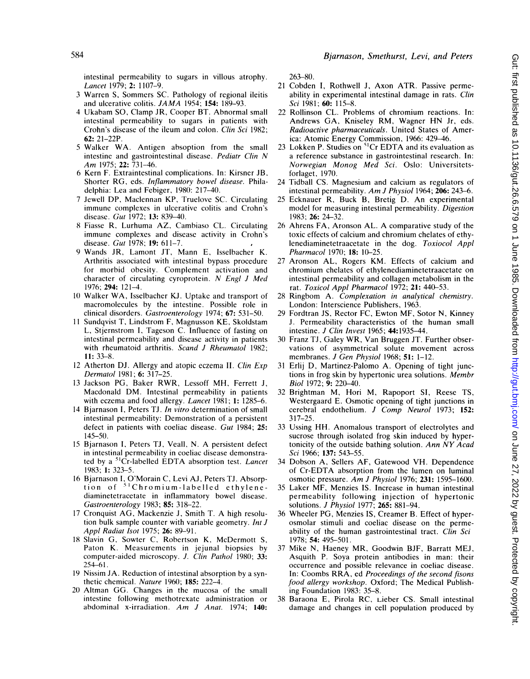intestinal permeability to sugars in villous atrophy. Lancet 1979; 2: 1107-9.

- 3 Warren S, Sommers SC. Pathology of regional ileitis and ulcerative colitis. JAMA 1954; 154: 189-93.
- 4 Ukabam SO, Clamp JR, Cooper BT. Abnormal small intestinal permeability to sugars in patients with Crohn's disease of the ileum and colon. Clin Sci 1982; 62: 21-22P.
- <sup>5</sup> Walker WA. Antigen absoption from the small intestine and gastrointestinal disease. Pediatr Clin N Am 1975; 22: 731-46.
- 6 Kern F. Extraintestinal complications. In: Kirsner JB, Shorter RG, eds. Inflammatory bowel disease. Philadelphia: Lea and Febiger, 1980: 217-40.
- 7 Jewell DP, Maclennan KP, Truelove SC. Circulating immune complexes in ulcerative colitis and Crohn's disease. Gut 1972; 13: 839-40.
- 8 Fiasse R, Lurhuma AZ, Cambiaso CL. Circulating immune complexes and disease activity in Crohn's disease. Gut 1978; 19: 611-7.
- 9 Wands JR, Lamont JT, Mann E, Isselbacher K. Arthritis associated with intestinal bypass procedure for morbid obesity. Complement activation and character of circulating cyroprotein. N Engl <sup>J</sup> Med 1976; 294: 121-4.
- <sup>10</sup> Walker WA, Isselbacher KJ. Uptake and transport of macromolecules by the intestine. Possible role in clinical disorders. Gastroenterology 1974; 67: 531-50.
- <sup>11</sup> Sundqvist T, Lindstrom F, Magnusson KE, Skoldstam L, Stjernstrom I, Tageson C. Influence of fasting on intestinal permeability and disease activity in patients with rheumatoid arthritis. Scand J Rheumatol 1982; 11: 33-8.
- 12 Atherton DJ. Allergy and atopic eczema II. Clin Exp Dermatol 1981; 6: 317-25.
- <sup>13</sup> Jackson PG, Baker RWR, Lessoff MH, Ferrett J, Macdonald DM. Intestinal permeability in patients with eczema and food allergy. Lancet 1981; 1: 1285-6.
- 14 Bjarnason I, Peters TJ. In vitro determination of small intestinal permeability: Demonstration of a persistent defect in patients with coeliac disease. Gut 1984; 25: 145-50.
- <sup>15</sup> Bjarnason I, Peters TJ, Veall, N. A persistent defect in intestinal permeability in coeliac disease demonstrated by a <sup>51</sup>Cr-labelled EDTA absorption test. Lancet 1983; 1: 323-5.
- 16 Bjarnason I, O'Morain C, Levi AJ, Peters TJ. Absorption of <sup>51</sup>Chromium-labelled ethylenediaminetetracetate in inflammatory bowel disease. Gastroenterology 1983; 85: 318-22.
- <sup>17</sup> Cronquist AG, Mackenzie J, Smith T. A high resolution bulk sample counter with variable geometry. Int J Appl Radiat Isot 1975; 26: 89-91.
- 18 Slavin G, Sowter C, Robertson K, McDermott S, Paton K. Measurements in jejunal biopsies by computer-aided microscopy. J. Clin Pathol 1980; 33: 254-61.
- 19 Nissim JA. Reduction of intestinal absorption by a synthetic chemical. Nature 1960; 185: 222-4.
- 20 Altman GG. Changes in the mucosa of the small intestine following methotrexate administration or abdominal x-irradiation. Am <sup>J</sup> Anat. 1974; 140:

263-80.

- <sup>21</sup> Cobden I, Rothwell J, Axon ATR. Passive permeability in experimental intestinal damage in rats. Clin Sci 1981; 60: 115-8.
- 22 Rollinson CL. Problems of chromium reactions. In: Andrews GA, Kniseley RM, Wagner HN Jr, eds. Radioactive pharmaceuticals. United States of America: Atomic Energy Commission, 1966: 429-46.
- 23 Lokken P. Studies on  ${}^{51}Cr$  EDTA and its evaluation as a reference substance in gastrointestinal research. In: Norwegian Monog Med Sci. Oslo: Universitetsforlaget, 1970.
- 24 Tidball CS. Magnesium and calcium as regulators of intestinal permeability. Am J Physiol 1964;  $\overline{206}$ : 243–6.
- <sup>25</sup> Ecknauer R, Buck B, Bretig D. An experimental model for measuring intestinal permeability. Digestion 1983; 26: 24-32.
- <sup>26</sup> Ahrens FA, Aronson AL. A comparative study of the toxic effects of calcium and chromium chelates of ethylenediaminetetraacetate in the dog. Toxiocol Appl Pharmacol 1970; 18: 10-25.
- 27 Aronson AL, Rogers KM. Effects of calcium and chromium chelates of ethylenediaminetetraacetate on intestinal permeability and collagen metabolism in the rat. Toxicol Appl Pharmacol 1972; 21: 440-53.
- 28 Ringbom A. Complexation in analytical chemistry. London: Interscience Publishers, 1963.
- Fordtran JS, Rector FC, Ewton MF, Sotor N, Kinney J. Permeability characteristics of the human small intestine. J Clin Invest 1965; 44:1935-44.
- 30 Franz TJ, Galey WR, Van Bruggen JT. Further observations of asymmetrical solute movement across membranes. J Gen Physiol 1968; 51: 1-12.
- 31 Erlij D, Martinez-Palomo A. Opening of tight junctions in frog skin by hypertonic urea solutions. Membr Biol 1972; 9: 220-40.
- 32 Brightman M, Hori M, Rapoport SI, Reese TS, Westergaard E. Osmotic opening of tight junctions in cerebral endothelium. J Comp Neurol 1973; 152: 317-25.
- 33 Ussing HH. Anomalous transport of electrolytes and sucrose through isolated frog skin induced by hypertonicity of the outside bathing solution. Ann NY Acad Sci 1966; 137: 543-55.
- 34 Dobson A, Sellers AF, Gatewood VH. Dependence of Cr-EDTA absorption from the lumen on luminal osmotic pressure. Am <sup>J</sup> Physiol 1976; 231: 1595-1600.
- 35 Laker MF, Menzies IS. Increase in human intestinal permeability following injection of hypertonic solutions. J Physiol 1977; 265: 881-94.
- 36 Wheeler PG, Menzies IS, Creamer B. Effect of hyperosmolar stimuli and coeliac disease on the permeability of the human gastrointestinal tract. Clin Sci 1978; 54: 495-501.
- 37 Mike N, Haeney MR, Goodwin BJF, Barratt MEJ, Asquith P. Soya protein antibodies in man: their occurrence and possible relevance in coeliac disease. In: Coombs RRA, ed Proceedings of the second fisons food allergy workshop. Oxford; The Medical Publishing Foundation 1983: 35-8.
- 38 Baraona E, Pirola RC, Lieber CS. Small intestinal damage and changes in cell population produced by